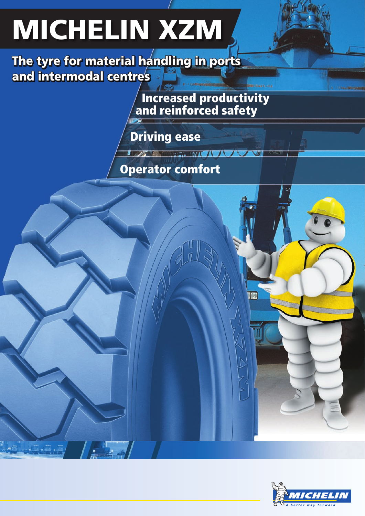# MICHELIN XZM

The tyre for material handling in ports and intermodal centres

> **Increased productivity**  $\blacksquare$  / and reinforced safety

> > $\overline{h/L}$

Driving ease

### Operator comfort